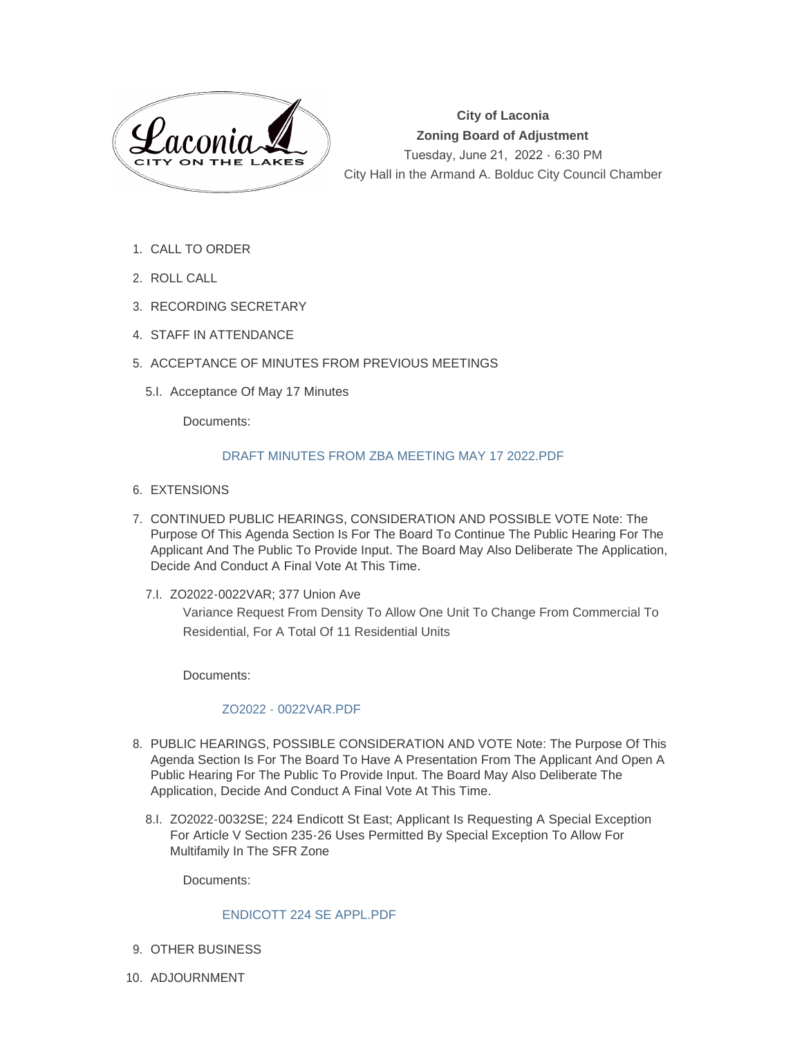

**City of Laconia Zoning Board of Adjustment** Tuesday, June 21, 2022 - 6:30 PM City Hall in the Armand A. Bolduc City Council Chamber

- 1. CALL TO ORDER
- 2. ROLL CALL
- 3. RECORDING SECRETARY
- 4. STAFF IN ATTENDANCE
- 5. ACCEPTANCE OF MINUTES FROM PREVIOUS MEETINGS
	- 5.I. Acceptance Of May 17 Minutes

Documents:

## [DRAFT MINUTES FROM ZBA MEETING MAY 17 2022.PDF](https://www.laconianh.gov/AgendaCenter/ViewFile/Item/20680?fileID=43570)

- 6. EXTENSIONS
- 7. CONTINUED PUBLIC HEARINGS, CONSIDERATION AND POSSIBLE VOTE Note: The Purpose Of This Agenda Section Is For The Board To Continue The Public Hearing For The Applicant And The Public To Provide Input. The Board May Also Deliberate The Application, Decide And Conduct A Final Vote At This Time.
	- 7.I. ZO2022-0022VAR; 377 Union Ave Variance Request From Density To Allow One Unit To Change From Commercial To Residential, For A Total Of 11 Residential Units

Documents:

## [ZO2022 - 0022VAR.PDF](https://www.laconianh.gov/AgendaCenter/ViewFile/Item/20959?fileID=43566)

- 8. PUBLIC HEARINGS, POSSIBLE CONSIDERATION AND VOTE Note: The Purpose Of This Agenda Section Is For The Board To Have A Presentation From The Applicant And Open A Public Hearing For The Public To Provide Input. The Board May Also Deliberate The Application, Decide And Conduct A Final Vote At This Time.
	- 8.I. ZO2022-0032SE; 224 Endicott St East; Applicant Is Requesting A Special Exception For Article V Section 235-26 Uses Permitted By Special Exception To Allow For Multifamily In The SFR Zone

Documents:

## [ENDICOTT 224 SE APPL.PDF](https://www.laconianh.gov/AgendaCenter/ViewFile/Item/20681?fileID=43455)

- 9. OTHER BUSINESS
- 10. ADJOURNMENT